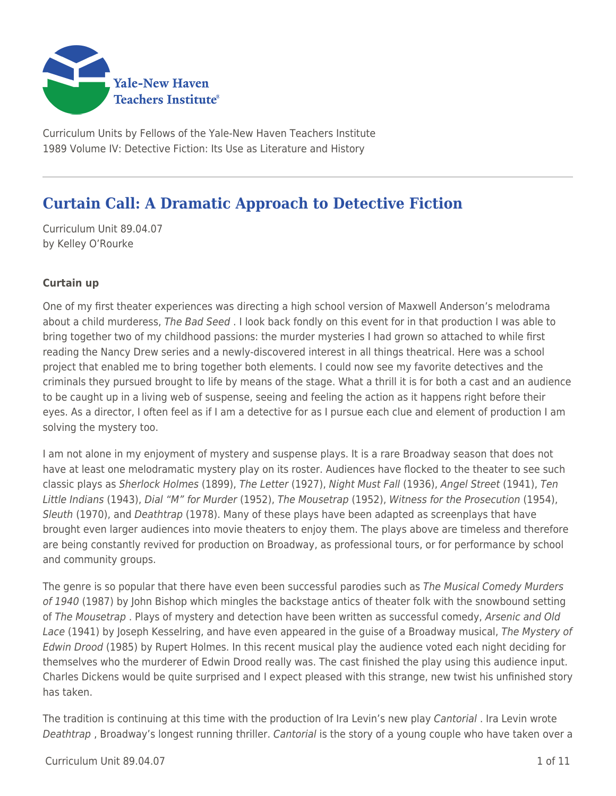

Curriculum Units by Fellows of the Yale-New Haven Teachers Institute 1989 Volume IV: Detective Fiction: Its Use as Literature and History

# **Curtain Call: A Dramatic Approach to Detective Fiction**

Curriculum Unit 89.04.07 by Kelley O'Rourke

## **Curtain up**

One of my first theater experiences was directing a high school version of Maxwell Anderson's melodrama about a child murderess, The Bad Seed . I look back fondly on this event for in that production I was able to bring together two of my childhood passions: the murder mysteries I had grown so attached to while first reading the Nancy Drew series and a newly-discovered interest in all things theatrical. Here was a school project that enabled me to bring together both elements. I could now see my favorite detectives and the criminals they pursued brought to life by means of the stage. What a thrill it is for both a cast and an audience to be caught up in a living web of suspense, seeing and feeling the action as it happens right before their eyes. As a director, I often feel as if I am a detective for as I pursue each clue and element of production I am solving the mystery too.

I am not alone in my enjoyment of mystery and suspense plays. It is a rare Broadway season that does not have at least one melodramatic mystery play on its roster. Audiences have flocked to the theater to see such classic plays as Sherlock Holmes (1899), The Letter (1927), Night Must Fall (1936), Angel Street (1941), Ten Little Indians (1943), Dial "M" for Murder (1952), The Mousetrap (1952), Witness for the Prosecution (1954), Sleuth (1970), and Deathtrap (1978). Many of these plays have been adapted as screenplays that have brought even larger audiences into movie theaters to enjoy them. The plays above are timeless and therefore are being constantly revived for production on Broadway, as professional tours, or for performance by school and community groups.

The genre is so popular that there have even been successful parodies such as The Musical Comedy Murders of 1940 (1987) by John Bishop which mingles the backstage antics of theater folk with the snowbound setting of The Mousetrap . Plays of mystery and detection have been written as successful comedy, Arsenic and Old Lace (1941) by Joseph Kesselring, and have even appeared in the guise of a Broadway musical, The Mystery of Edwin Drood (1985) by Rupert Holmes. In this recent musical play the audience voted each night deciding for themselves who the murderer of Edwin Drood really was. The cast finished the play using this audience input. Charles Dickens would be quite surprised and I expect pleased with this strange, new twist his unfinished story has taken.

The tradition is continuing at this time with the production of Ira Levin's new play Cantorial. Ira Levin wrote Deathtrap, Broadway's longest running thriller. Cantorial is the story of a young couple who have taken over a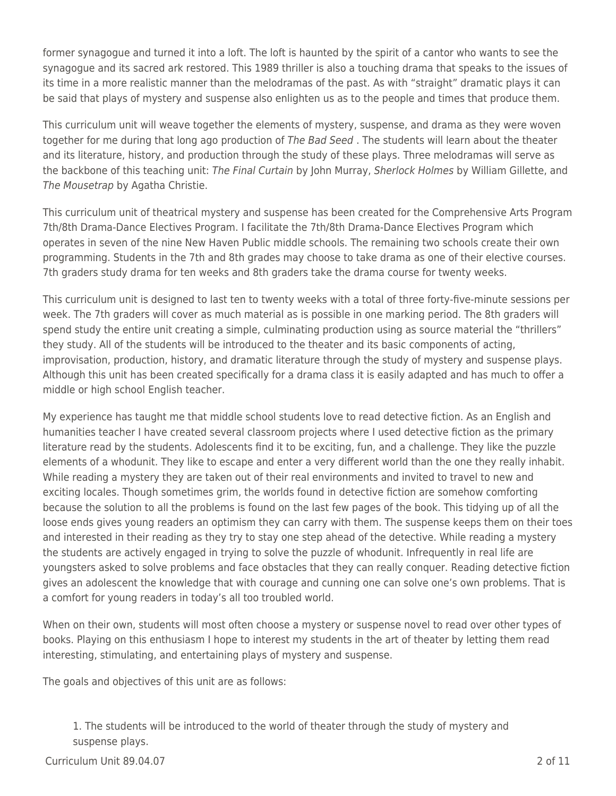former synagogue and turned it into a loft. The loft is haunted by the spirit of a cantor who wants to see the synagogue and its sacred ark restored. This 1989 thriller is also a touching drama that speaks to the issues of its time in a more realistic manner than the melodramas of the past. As with "straight" dramatic plays it can be said that plays of mystery and suspense also enlighten us as to the people and times that produce them.

This curriculum unit will weave together the elements of mystery, suspense, and drama as they were woven together for me during that long ago production of The Bad Seed. The students will learn about the theater and its literature, history, and production through the study of these plays. Three melodramas will serve as the backbone of this teaching unit: The Final Curtain by John Murray, Sherlock Holmes by William Gillette, and The Mousetrap by Agatha Christie.

This curriculum unit of theatrical mystery and suspense has been created for the Comprehensive Arts Program 7th/8th Drama-Dance Electives Program. I facilitate the 7th/8th Drama-Dance Electives Program which operates in seven of the nine New Haven Public middle schools. The remaining two schools create their own programming. Students in the 7th and 8th grades may choose to take drama as one of their elective courses. 7th graders study drama for ten weeks and 8th graders take the drama course for twenty weeks.

This curriculum unit is designed to last ten to twenty weeks with a total of three forty-five-minute sessions per week. The 7th graders will cover as much material as is possible in one marking period. The 8th graders will spend study the entire unit creating a simple, culminating production using as source material the "thrillers" they study. All of the students will be introduced to the theater and its basic components of acting, improvisation, production, history, and dramatic literature through the study of mystery and suspense plays. Although this unit has been created specifically for a drama class it is easily adapted and has much to offer a middle or high school English teacher.

My experience has taught me that middle school students love to read detective fiction. As an English and humanities teacher I have created several classroom projects where I used detective fiction as the primary literature read by the students. Adolescents find it to be exciting, fun, and a challenge. They like the puzzle elements of a whodunit. They like to escape and enter a very different world than the one they really inhabit. While reading a mystery they are taken out of their real environments and invited to travel to new and exciting locales. Though sometimes grim, the worlds found in detective fiction are somehow comforting because the solution to all the problems is found on the last few pages of the book. This tidying up of all the loose ends gives young readers an optimism they can carry with them. The suspense keeps them on their toes and interested in their reading as they try to stay one step ahead of the detective. While reading a mystery the students are actively engaged in trying to solve the puzzle of whodunit. Infrequently in real life are youngsters asked to solve problems and face obstacles that they can really conquer. Reading detective fiction gives an adolescent the knowledge that with courage and cunning one can solve one's own problems. That is a comfort for young readers in today's all too troubled world.

When on their own, students will most often choose a mystery or suspense novel to read over other types of books. Playing on this enthusiasm I hope to interest my students in the art of theater by letting them read interesting, stimulating, and entertaining plays of mystery and suspense.

The goals and objectives of this unit are as follows:

1. The students will be introduced to the world of theater through the study of mystery and suspense plays.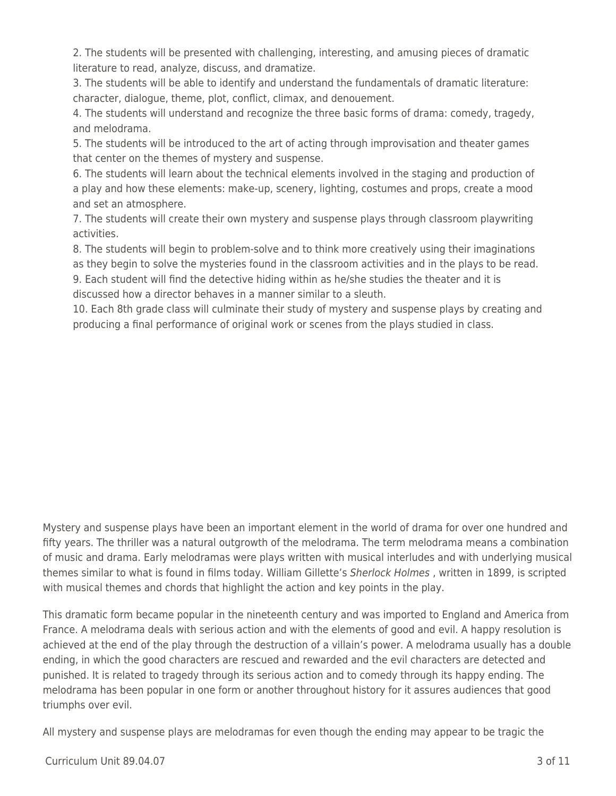2. The students will be presented with challenging, interesting, and amusing pieces of dramatic literature to read, analyze, discuss, and dramatize.

3. The students will be able to identify and understand the fundamentals of dramatic literature: character, dialogue, theme, plot, conflict, climax, and denouement.

4. The students will understand and recognize the three basic forms of drama: comedy, tragedy, and melodrama.

5. The students will be introduced to the art of acting through improvisation and theater games that center on the themes of mystery and suspense.

6. The students will learn about the technical elements involved in the staging and production of a play and how these elements: make-up, scenery, lighting, costumes and props, create a mood and set an atmosphere.

7. The students will create their own mystery and suspense plays through classroom playwriting activities.

8. The students will begin to problem-solve and to think more creatively using their imaginations as they begin to solve the mysteries found in the classroom activities and in the plays to be read. 9. Each student will find the detective hiding within as he/she studies the theater and it is

discussed how a director behaves in a manner similar to a sleuth.

10. Each 8th grade class will culminate their study of mystery and suspense plays by creating and producing a final performance of original work or scenes from the plays studied in class.

Mystery and suspense plays have been an important element in the world of drama for over one hundred and fifty years. The thriller was a natural outgrowth of the melodrama. The term melodrama means a combination of music and drama. Early melodramas were plays written with musical interludes and with underlying musical themes similar to what is found in films today. William Gillette's Sherlock Holmes, written in 1899, is scripted with musical themes and chords that highlight the action and key points in the play.

This dramatic form became popular in the nineteenth century and was imported to England and America from France. A melodrama deals with serious action and with the elements of good and evil. A happy resolution is achieved at the end of the play through the destruction of a villain's power. A melodrama usually has a double ending, in which the good characters are rescued and rewarded and the evil characters are detected and punished. It is related to tragedy through its serious action and to comedy through its happy ending. The melodrama has been popular in one form or another throughout history for it assures audiences that good triumphs over evil.

All mystery and suspense plays are melodramas for even though the ending may appear to be tragic the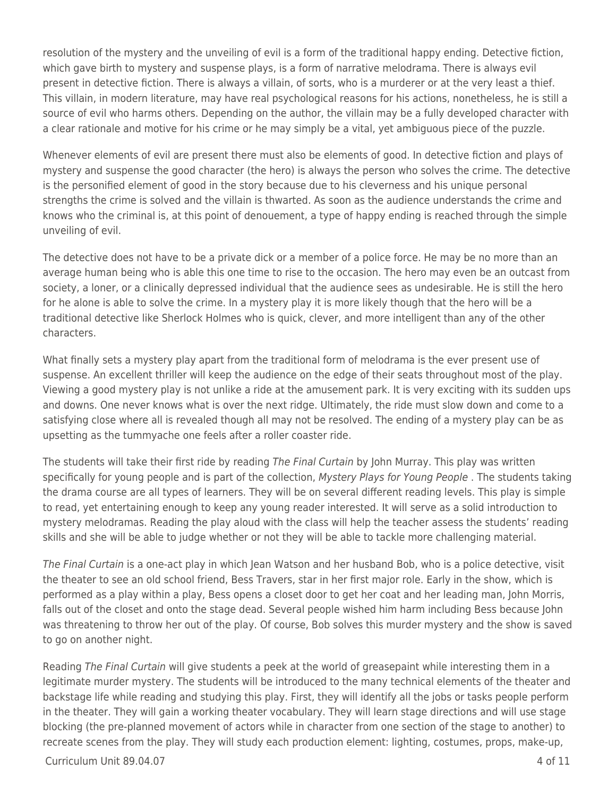resolution of the mystery and the unveiling of evil is a form of the traditional happy ending. Detective fiction, which gave birth to mystery and suspense plays, is a form of narrative melodrama. There is always evil present in detective fiction. There is always a villain, of sorts, who is a murderer or at the very least a thief. This villain, in modern literature, may have real psychological reasons for his actions, nonetheless, he is still a source of evil who harms others. Depending on the author, the villain may be a fully developed character with a clear rationale and motive for his crime or he may simply be a vital, yet ambiguous piece of the puzzle.

Whenever elements of evil are present there must also be elements of good. In detective fiction and plays of mystery and suspense the good character (the hero) is always the person who solves the crime. The detective is the personified element of good in the story because due to his cleverness and his unique personal strengths the crime is solved and the villain is thwarted. As soon as the audience understands the crime and knows who the criminal is, at this point of denouement, a type of happy ending is reached through the simple unveiling of evil.

The detective does not have to be a private dick or a member of a police force. He may be no more than an average human being who is able this one time to rise to the occasion. The hero may even be an outcast from society, a loner, or a clinically depressed individual that the audience sees as undesirable. He is still the hero for he alone is able to solve the crime. In a mystery play it is more likely though that the hero will be a traditional detective like Sherlock Holmes who is quick, clever, and more intelligent than any of the other characters.

What finally sets a mystery play apart from the traditional form of melodrama is the ever present use of suspense. An excellent thriller will keep the audience on the edge of their seats throughout most of the play. Viewing a good mystery play is not unlike a ride at the amusement park. It is very exciting with its sudden ups and downs. One never knows what is over the next ridge. Ultimately, the ride must slow down and come to a satisfying close where all is revealed though all may not be resolved. The ending of a mystery play can be as upsetting as the tummyache one feels after a roller coaster ride.

The students will take their first ride by reading The Final Curtain by John Murray. This play was written specifically for young people and is part of the collection, Mystery Plays for Young People. The students taking the drama course are all types of learners. They will be on several different reading levels. This play is simple to read, yet entertaining enough to keep any young reader interested. It will serve as a solid introduction to mystery melodramas. Reading the play aloud with the class will help the teacher assess the students' reading skills and she will be able to judge whether or not they will be able to tackle more challenging material.

The Final Curtain is a one-act play in which Jean Watson and her husband Bob, who is a police detective, visit the theater to see an old school friend, Bess Travers, star in her first major role. Early in the show, which is performed as a play within a play, Bess opens a closet door to get her coat and her leading man, John Morris, falls out of the closet and onto the stage dead. Several people wished him harm including Bess because John was threatening to throw her out of the play. Of course, Bob solves this murder mystery and the show is saved to go on another night.

Reading The Final Curtain will give students a peek at the world of greasepaint while interesting them in a legitimate murder mystery. The students will be introduced to the many technical elements of the theater and backstage life while reading and studying this play. First, they will identify all the jobs or tasks people perform in the theater. They will gain a working theater vocabulary. They will learn stage directions and will use stage blocking (the pre-planned movement of actors while in character from one section of the stage to another) to recreate scenes from the play. They will study each production element: lighting, costumes, props, make-up,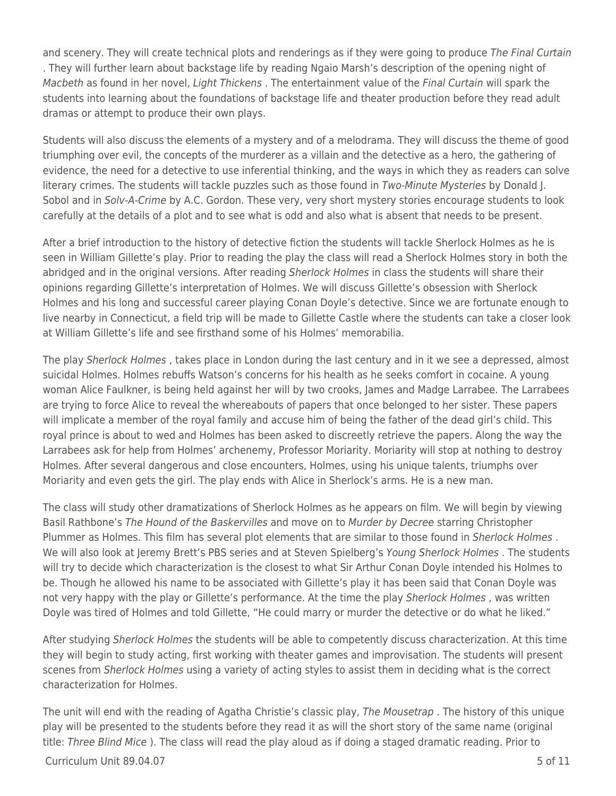and scenery. They will create technical plots and renderings as if they were going to produce The Final Curtain . They will further learn about backstage life by reading Ngaio Marsh's description of the opening night of Macbeth as found in her novel, Light Thickens . The entertainment value of the Final Curtain will spark the students into learning about the foundations of backstage life and theater production before they read adult dramas or attempt to produce their own plays.

Students will also discuss the elements of a mystery and of a melodrama. They will discuss the theme of good triumphing over evil, the concepts of the murderer as a villain and the detective as a hero, the gathering of evidence, the need for a detective to use inferential thinking, and the ways in which they as readers can solve literary crimes. The students will tackle puzzles such as those found in Two-Minute Mysteries by Donald J. Sobol and in Solv-A-Crime by A.C. Gordon. These very, very short mystery stories encourage students to look carefully at the details of a plot and to see what is odd and also what is absent that needs to be present.

After a brief introduction to the history of detective fiction the students will tackle Sherlock Holmes as he is seen in William Gillette's play. Prior to reading the play the class will read a Sherlock Holmes story in both the abridged and in the original versions. After reading Sherlock Holmes in class the students will share their opinions regarding Gillette's interpretation of Holmes. We will discuss Gillette's obsession with Sherlock Holmes and his long and successful career playing Conan Doyle's detective. Since we are fortunate enough to live nearby in Connecticut, a field trip will be made to Gillette Castle where the students can take a closer look at William Gillette's life and see firsthand some of his Holmes' memorabilia.

The play Sherlock Holmes , takes place in London during the last century and in it we see a depressed, almost suicidal Holmes. Holmes rebuffs Watson's concerns for his health as he seeks comfort in cocaine. A young woman Alice Faulkner, is being held against her will by two crooks, James and Madge Larrabee. The Larrabees are trying to force Alice to reveal the whereabouts of papers that once belonged to her sister. These papers will implicate a member of the royal family and accuse him of being the father of the dead girl's child. This royal prince is about to wed and Holmes has been asked to discreetly retrieve the papers. Along the way the Larrabees ask for help from Holmes' archenemy, Professor Moriarity. Moriarity will stop at nothing to destroy Holmes. After several dangerous and close encounters, Holmes, using his unique talents, triumphs over Moriarity and even gets the girl. The play ends with Alice in Sherlock's arms. He is a new man.

The class will study other dramatizations of Sherlock Holmes as he appears on film. We will begin by viewing Basil Rathbone's The Hound of the Baskervilles and move on to Murder by Decree starring Christopher Plummer as Holmes. This film has several plot elements that are similar to those found in Sherlock Holmes. We will also look at Jeremy Brett's PBS series and at Steven Spielberg's Young Sherlock Holmes. The students will try to decide which characterization is the closest to what Sir Arthur Conan Doyle intended his Holmes to be. Though he allowed his name to be associated with Gillette's play it has been said that Conan Doyle was not very happy with the play or Gillette's performance. At the time the play Sherlock Holmes, was written Doyle was tired of Holmes and told Gillette, "He could marry or murder the detective or do what he liked."

After studying Sherlock Holmes the students will be able to competently discuss characterization. At this time they will begin to study acting, first working with theater games and improvisation. The students will present scenes from Sherlock Holmes using a variety of acting styles to assist them in deciding what is the correct characterization for Holmes.

The unit will end with the reading of Agatha Christie's classic play, The Mousetrap. The history of this unique play will be presented to the students before they read it as will the short story of the same name (original title: Three Blind Mice). The class will read the play aloud as if doing a staged dramatic reading. Prior to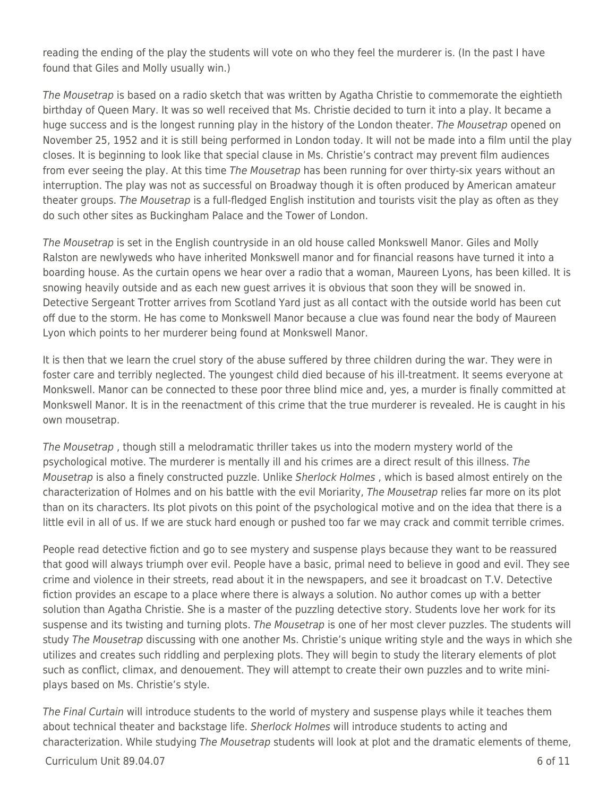reading the ending of the play the students will vote on who they feel the murderer is. (In the past I have found that Giles and Molly usually win.)

The Mousetrap is based on a radio sketch that was written by Agatha Christie to commemorate the eightieth birthday of Queen Mary. It was so well received that Ms. Christie decided to turn it into a play. It became a huge success and is the longest running play in the history of the London theater. The Mousetrap opened on November 25, 1952 and it is still being performed in London today. It will not be made into a film until the play closes. It is beginning to look like that special clause in Ms. Christie's contract may prevent film audiences from ever seeing the play. At this time The Mousetrap has been running for over thirty-six years without an interruption. The play was not as successful on Broadway though it is often produced by American amateur theater groups. The Mousetrap is a full-fledged English institution and tourists visit the play as often as they do such other sites as Buckingham Palace and the Tower of London.

The Mousetrap is set in the English countryside in an old house called Monkswell Manor. Giles and Molly Ralston are newlyweds who have inherited Monkswell manor and for financial reasons have turned it into a boarding house. As the curtain opens we hear over a radio that a woman, Maureen Lyons, has been killed. It is snowing heavily outside and as each new guest arrives it is obvious that soon they will be snowed in. Detective Sergeant Trotter arrives from Scotland Yard just as all contact with the outside world has been cut off due to the storm. He has come to Monkswell Manor because a clue was found near the body of Maureen Lyon which points to her murderer being found at Monkswell Manor.

It is then that we learn the cruel story of the abuse suffered by three children during the war. They were in foster care and terribly neglected. The youngest child died because of his ill-treatment. It seems everyone at Monkswell. Manor can be connected to these poor three blind mice and, yes, a murder is finally committed at Monkswell Manor. It is in the reenactment of this crime that the true murderer is revealed. He is caught in his own mousetrap.

The Mousetrap , though still a melodramatic thriller takes us into the modern mystery world of the psychological motive. The murderer is mentally ill and his crimes are a direct result of this illness. The Mousetrap is also a finely constructed puzzle. Unlike Sherlock Holmes, which is based almost entirely on the characterization of Holmes and on his battle with the evil Moriarity, The Mousetrap relies far more on its plot than on its characters. Its plot pivots on this point of the psychological motive and on the idea that there is a little evil in all of us. If we are stuck hard enough or pushed too far we may crack and commit terrible crimes.

People read detective fiction and go to see mystery and suspense plays because they want to be reassured that good will always triumph over evil. People have a basic, primal need to believe in good and evil. They see crime and violence in their streets, read about it in the newspapers, and see it broadcast on T.V. Detective fiction provides an escape to a place where there is always a solution. No author comes up with a better solution than Agatha Christie. She is a master of the puzzling detective story. Students love her work for its suspense and its twisting and turning plots. The Mousetrap is one of her most clever puzzles. The students will study The Mousetrap discussing with one another Ms. Christie's unique writing style and the ways in which she utilizes and creates such riddling and perplexing plots. They will begin to study the literary elements of plot such as conflict, climax, and denouement. They will attempt to create their own puzzles and to write miniplays based on Ms. Christie's style.

The Final Curtain will introduce students to the world of mystery and suspense plays while it teaches them about technical theater and backstage life. Sherlock Holmes will introduce students to acting and characterization. While studying The Mousetrap students will look at plot and the dramatic elements of theme,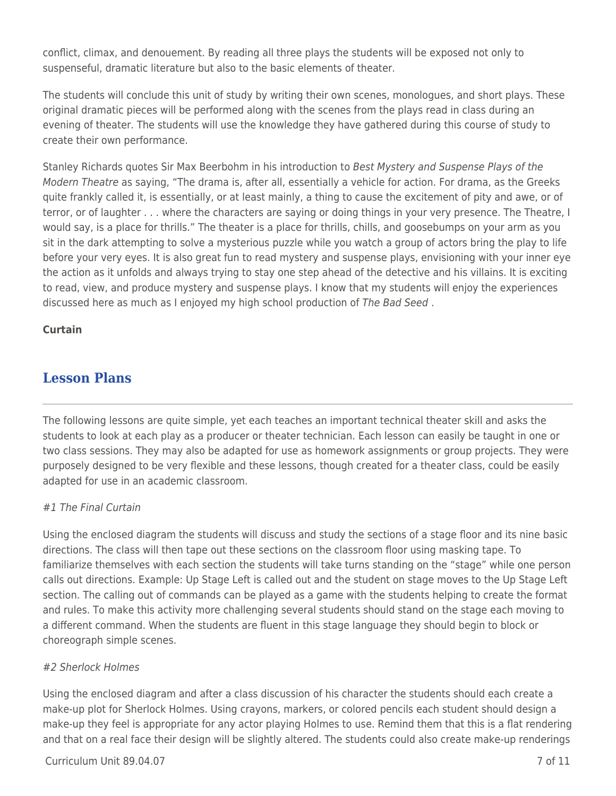conflict, climax, and denouement. By reading all three plays the students will be exposed not only to suspenseful, dramatic literature but also to the basic elements of theater.

The students will conclude this unit of study by writing their own scenes, monologues, and short plays. These original dramatic pieces will be performed along with the scenes from the plays read in class during an evening of theater. The students will use the knowledge they have gathered during this course of study to create their own performance.

Stanley Richards quotes Sir Max Beerbohm in his introduction to Best Mystery and Suspense Plays of the Modern Theatre as saying, "The drama is, after all, essentially a vehicle for action. For drama, as the Greeks quite frankly called it, is essentially, or at least mainly, a thing to cause the excitement of pity and awe, or of terror, or of laughter . . . where the characters are saying or doing things in your very presence. The Theatre, I would say, is a place for thrills." The theater is a place for thrills, chills, and goosebumps on your arm as you sit in the dark attempting to solve a mysterious puzzle while you watch a group of actors bring the play to life before your very eyes. It is also great fun to read mystery and suspense plays, envisioning with your inner eye the action as it unfolds and always trying to stay one step ahead of the detective and his villains. It is exciting to read, view, and produce mystery and suspense plays. I know that my students will enjoy the experiences discussed here as much as I enjoyed my high school production of The Bad Seed .

## **Curtain**

# **Lesson Plans**

The following lessons are quite simple, yet each teaches an important technical theater skill and asks the students to look at each play as a producer or theater technician. Each lesson can easily be taught in one or two class sessions. They may also be adapted for use as homework assignments or group projects. They were purposely designed to be very flexible and these lessons, though created for a theater class, could be easily adapted for use in an academic classroom.

### #1 The Final Curtain

Using the enclosed diagram the students will discuss and study the sections of a stage floor and its nine basic directions. The class will then tape out these sections on the classroom floor using masking tape. To familiarize themselves with each section the students will take turns standing on the "stage" while one person calls out directions. Example: Up Stage Left is called out and the student on stage moves to the Up Stage Left section. The calling out of commands can be played as a game with the students helping to create the format and rules. To make this activity more challenging several students should stand on the stage each moving to a different command. When the students are fluent in this stage language they should begin to block or choreograph simple scenes.

### #2 Sherlock Holmes

Using the enclosed diagram and after a class discussion of his character the students should each create a make-up plot for Sherlock Holmes. Using crayons, markers, or colored pencils each student should design a make-up they feel is appropriate for any actor playing Holmes to use. Remind them that this is a flat rendering and that on a real face their design will be slightly altered. The students could also create make-up renderings

#### $C$ urriculum Unit 89.04.07  $\qquad \qquad$  7 of 11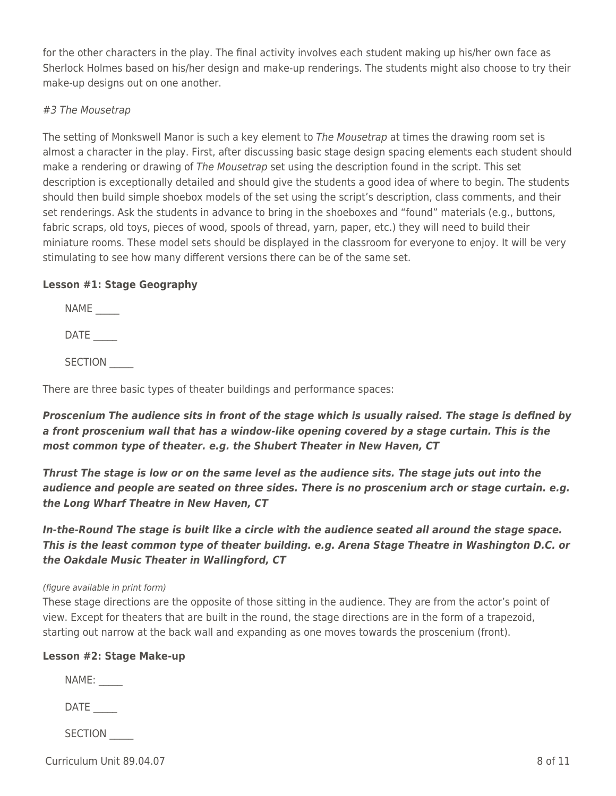for the other characters in the play. The final activity involves each student making up his/her own face as Sherlock Holmes based on his/her design and make-up renderings. The students might also choose to try their make-up designs out on one another.

#### #3 The Mousetrap

The setting of Monkswell Manor is such a key element to *The Mousetrap* at times the drawing room set is almost a character in the play. First, after discussing basic stage design spacing elements each student should make a rendering or drawing of The Mousetrap set using the description found in the script. This set description is exceptionally detailed and should give the students a good idea of where to begin. The students should then build simple shoebox models of the set using the script's description, class comments, and their set renderings. Ask the students in advance to bring in the shoeboxes and "found" materials (e.g., buttons, fabric scraps, old toys, pieces of wood, spools of thread, yarn, paper, etc.) they will need to build their miniature rooms. These model sets should be displayed in the classroom for everyone to enjoy. It will be very stimulating to see how many different versions there can be of the same set.

#### **Lesson #1: Stage Geography**

NAME

 $\mathsf{DATE}$  \_\_\_\_\_\_

SECTION  $\overline{\phantom{a}}$ 

There are three basic types of theater buildings and performance spaces:

*Proscenium The audience sits in front of the stage which is usually raised. The stage is defined by a front proscenium wall that has a window-like opening covered by a stage curtain. This is the most common type of theater. e.g. the Shubert Theater in New Haven, CT*

*Thrust The stage is low or on the same level as the audience sits. The stage juts out into the audience and people are seated on three sides. There is no proscenium arch or stage curtain. e.g. the Long Wharf Theatre in New Haven, CT*

*In-the-Round The stage is built like a circle with the audience seated all around the stage space. This is the least common type of theater building. e.g. Arena Stage Theatre in Washington D.C. or the Oakdale Music Theater in Wallingford, CT*

#### (figure available in print form)

These stage directions are the opposite of those sitting in the audience. They are from the actor's point of view. Except for theaters that are built in the round, the stage directions are in the form of a trapezoid, starting out narrow at the back wall and expanding as one moves towards the proscenium (front).

#### **Lesson #2: Stage Make-up**

NAME:

DATE

SECTION  $\overline{\phantom{a}}$ 

 $C$ urriculum Unit 89.04.07  $\qquad \qquad$  8 of 11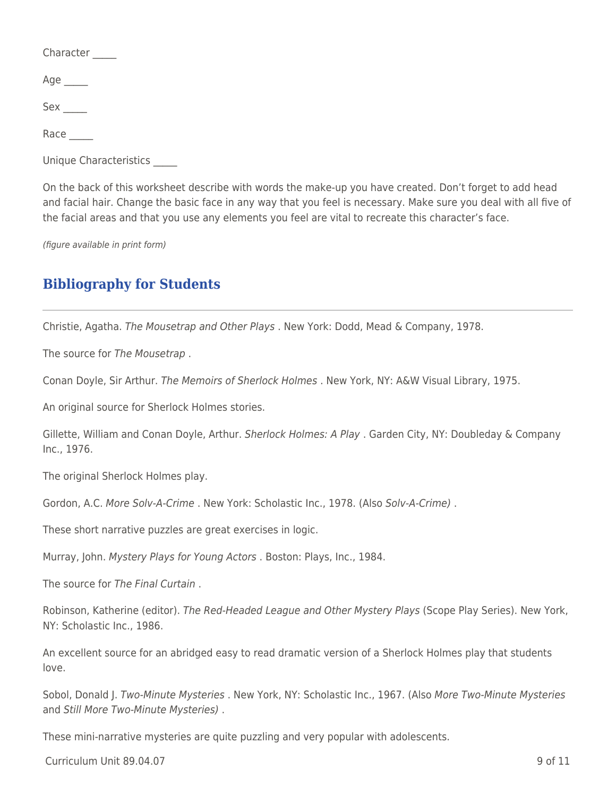Character

Age  $\overline{a}$ 

Sex \_\_\_\_\_

Race

Unique Characteristics \_\_\_\_\_

On the back of this worksheet describe with words the make-up you have created. Don't forget to add head and facial hair. Change the basic face in any way that you feel is necessary. Make sure you deal with all five of the facial areas and that you use any elements you feel are vital to recreate this character's face.

(figure available in print form)

# **Bibliography for Students**

Christie, Agatha. The Mousetrap and Other Plays . New York: Dodd, Mead & Company, 1978.

The source for The Mousetrap .

Conan Doyle, Sir Arthur. The Memoirs of Sherlock Holmes . New York, NY: A&W Visual Library, 1975.

An original source for Sherlock Holmes stories.

Gillette, William and Conan Doyle, Arthur. Sherlock Holmes: A Play . Garden City, NY: Doubleday & Company Inc., 1976.

The original Sherlock Holmes play.

Gordon, A.C. More Solv-A-Crime . New York: Scholastic Inc., 1978. (Also Solv-A-Crime) .

These short narrative puzzles are great exercises in logic.

Murray, John. Mystery Plays for Young Actors . Boston: Plays, Inc., 1984.

The source for The Final Curtain .

Robinson, Katherine (editor). The Red-Headed League and Other Mystery Plays (Scope Play Series). New York, NY: Scholastic Inc., 1986.

An excellent source for an abridged easy to read dramatic version of a Sherlock Holmes play that students love.

Sobol, Donald J. Two-Minute Mysteries . New York, NY: Scholastic Inc., 1967. (Also More Two-Minute Mysteries and Still More Two-Minute Mysteries) .

These mini-narrative mysteries are quite puzzling and very popular with adolescents.

 $C$ urriculum Unit 89.04.07 9 of 11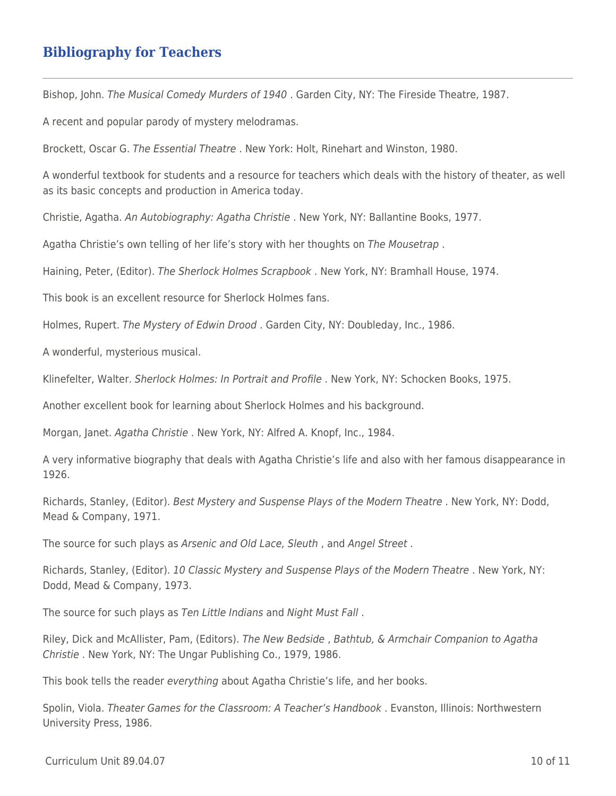# **Bibliography for Teachers**

Bishop, John. The Musical Comedy Murders of 1940 . Garden City, NY: The Fireside Theatre, 1987.

A recent and popular parody of mystery melodramas.

Brockett, Oscar G. The Essential Theatre . New York: Holt, Rinehart and Winston, 1980.

A wonderful textbook for students and a resource for teachers which deals with the history of theater, as well as its basic concepts and production in America today.

Christie, Agatha. An Autobiography: Agatha Christie . New York, NY: Ballantine Books, 1977.

Agatha Christie's own telling of her life's story with her thoughts on The Mousetrap .

Haining, Peter, (Editor). The Sherlock Holmes Scrapbook . New York, NY: Bramhall House, 1974.

This book is an excellent resource for Sherlock Holmes fans.

Holmes, Rupert. The Mystery of Edwin Drood . Garden City, NY: Doubleday, Inc., 1986.

A wonderful, mysterious musical.

Klinefelter, Walter. Sherlock Holmes: In Portrait and Profile . New York, NY: Schocken Books, 1975.

Another excellent book for learning about Sherlock Holmes and his background.

Morgan, Janet. Agatha Christie. New York, NY: Alfred A. Knopf, Inc., 1984.

A very informative biography that deals with Agatha Christie's life and also with her famous disappearance in 1926.

Richards, Stanley, (Editor). Best Mystery and Suspense Plays of the Modern Theatre . New York, NY: Dodd, Mead & Company, 1971.

The source for such plays as Arsenic and Old Lace, Sleuth , and Angel Street .

Richards, Stanley, (Editor). 10 Classic Mystery and Suspense Plays of the Modern Theatre . New York, NY: Dodd, Mead & Company, 1973.

The source for such plays as Ten Little Indians and Night Must Fall .

Riley, Dick and McAllister, Pam, (Editors). The New Bedside , Bathtub, & Armchair Companion to Agatha Christie . New York, NY: The Ungar Publishing Co., 1979, 1986.

This book tells the reader everything about Agatha Christie's life, and her books.

Spolin, Viola. Theater Games for the Classroom: A Teacher's Handbook . Evanston, Illinois: Northwestern University Press, 1986.

 $C$ urriculum Unit 89.04.07 10 of 11